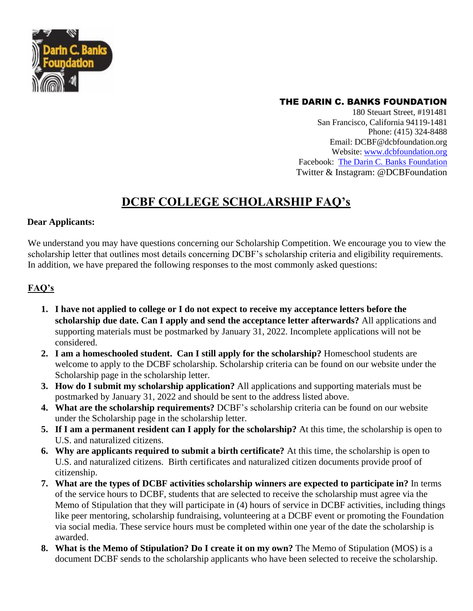

## THE DARIN C. BANKS FOUNDATION

180 Steuart Street, #191481 San Francisco, California 94119-1481 Phone: (415) 324-8488 Email: DCBF@dcbfoundation.org Website: [www.dcbfoundation.org](http://www.dcbfoundation.org/) Facebook: [The Darin C. Banks Foundation](https://www.facebook.com/TheDarinCBanksFoundation) Twitter & Instagram: @DCBFoundation

## **DCBF COLLEGE SCHOLARSHIP FAQ's**

## **Dear Applicants:**

We understand you may have questions concerning our Scholarship Competition. We encourage you to view the scholarship letter that outlines most details concerning DCBF's scholarship criteria and eligibility requirements. In addition, we have prepared the following responses to the most commonly asked questions:

## **FAQ's**

- **1. I have not applied to college or I do not expect to receive my acceptance letters before the scholarship due date. Can I apply and send the acceptance letter afterwards?** All applications and supporting materials must be postmarked by January 31, 2022. Incomplete applications will not be considered.
- **2. I am a homeschooled student. Can I still apply for the scholarship?** Homeschool students are welcome to apply to the DCBF scholarship. Scholarship criteria can be found on our website under the Scholarship page in the scholarship letter.
- **3. How do I submit my scholarship application?** All applications and supporting materials must be postmarked by January 31, 2022 and should be sent to the address listed above.
- **4. What are the scholarship requirements?** DCBF's scholarship criteria can be found on our website under the Scholarship page in the scholarship letter.
- **5. If I am a permanent resident can I apply for the scholarship?** At this time, the scholarship is open to U.S. and naturalized citizens.
- **6. Why are applicants required to submit a birth certificate?** At this time, the scholarship is open to U.S. and naturalized citizens.Birth certificates and naturalized citizen documents provide proof of citizenship.
- **7. What are the types of DCBF activities scholarship winners are expected to participate in?** In terms of the service hours to DCBF, students that are selected to receive the scholarship must agree via the Memo of Stipulation that they will participate in (4) hours of service in DCBF activities, including things like peer mentoring, scholarship fundraising, volunteering at a DCBF event or promoting the Foundation via social media. These service hours must be completed within one year of the date the scholarship is awarded.
- **8. What is the Memo of Stipulation? Do I create it on my own?** The Memo of Stipulation (MOS) is a document DCBF sends to the scholarship applicants who have been selected to receive the scholarship.